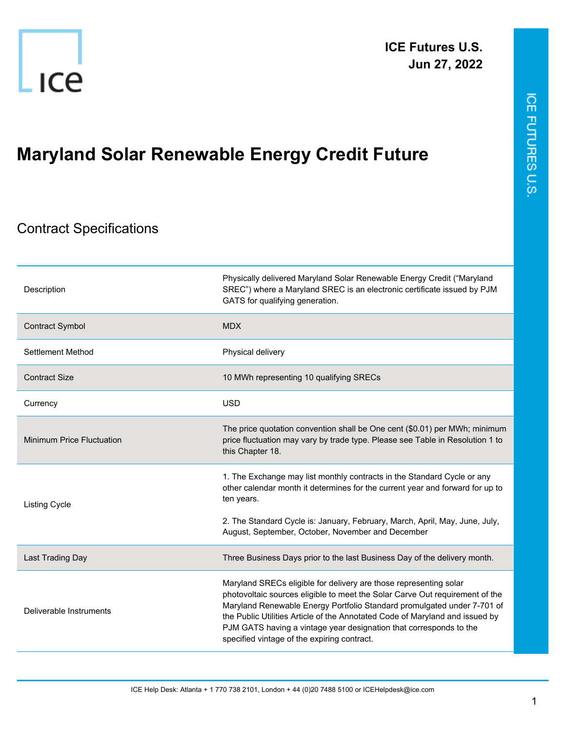

## **Maryland Solar Renewable Energy Credit Future**

## Contract Specifications

| Description                      | Physically delivered Maryland Solar Renewable Energy Credit ("Maryland<br>SREC") where a Maryland SREC is an electronic certificate issued by PJM<br>GATS for qualifying generation.                                                                                                                                                                                                                                              |
|----------------------------------|-----------------------------------------------------------------------------------------------------------------------------------------------------------------------------------------------------------------------------------------------------------------------------------------------------------------------------------------------------------------------------------------------------------------------------------|
| <b>Contract Symbol</b>           | <b>MDX</b>                                                                                                                                                                                                                                                                                                                                                                                                                        |
| Settlement Method                | Physical delivery                                                                                                                                                                                                                                                                                                                                                                                                                 |
| <b>Contract Size</b>             | 10 MWh representing 10 qualifying SRECs                                                                                                                                                                                                                                                                                                                                                                                           |
| Currency                         | <b>USD</b>                                                                                                                                                                                                                                                                                                                                                                                                                        |
| <b>Minimum Price Fluctuation</b> | The price quotation convention shall be One cent (\$0.01) per MWh; minimum<br>price fluctuation may vary by trade type. Please see Table in Resolution 1 to<br>this Chapter 18.                                                                                                                                                                                                                                                   |
| Listing Cycle                    | 1. The Exchange may list monthly contracts in the Standard Cycle or any<br>other calendar month it determines for the current year and forward for up to<br>ten years.                                                                                                                                                                                                                                                            |
|                                  | 2. The Standard Cycle is: January, February, March, April, May, June, July,<br>August, September, October, November and December                                                                                                                                                                                                                                                                                                  |
| Last Trading Day                 | Three Business Days prior to the last Business Day of the delivery month.                                                                                                                                                                                                                                                                                                                                                         |
| Deliverable Instruments          | Maryland SRECs eligible for delivery are those representing solar<br>photovoltaic sources eligible to meet the Solar Carve Out requirement of the<br>Maryland Renewable Energy Portfolio Standard promulgated under 7-701 of<br>the Public Utilities Article of the Annotated Code of Maryland and issued by<br>PJM GATS having a vintage year designation that corresponds to the<br>specified vintage of the expiring contract. |